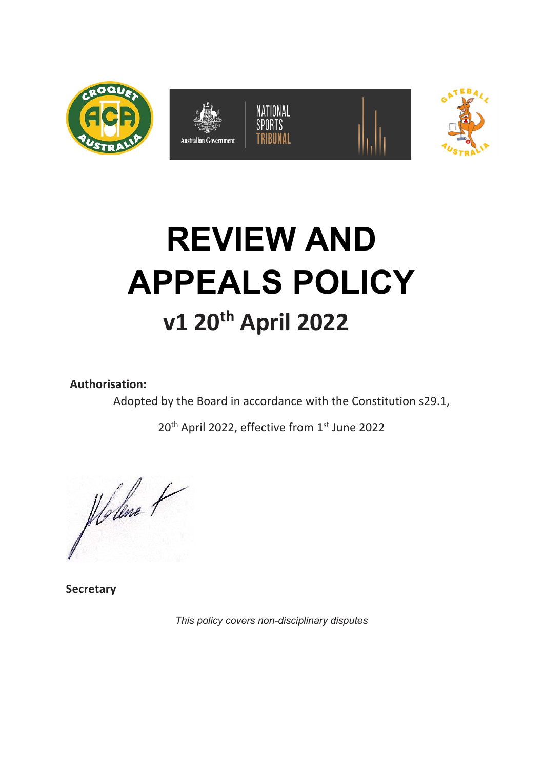

# **REVIEW AND APPEALS POLICY v1 20th April 2022**

**Authorisation:** 

Adopted by the Board in accordance with the Constitution s29.1,

20<sup>th</sup> April 2022, effective from 1<sup>st</sup> June 2022

plolene 1

**Secretary**

*This policy covers non-disciplinary disputes*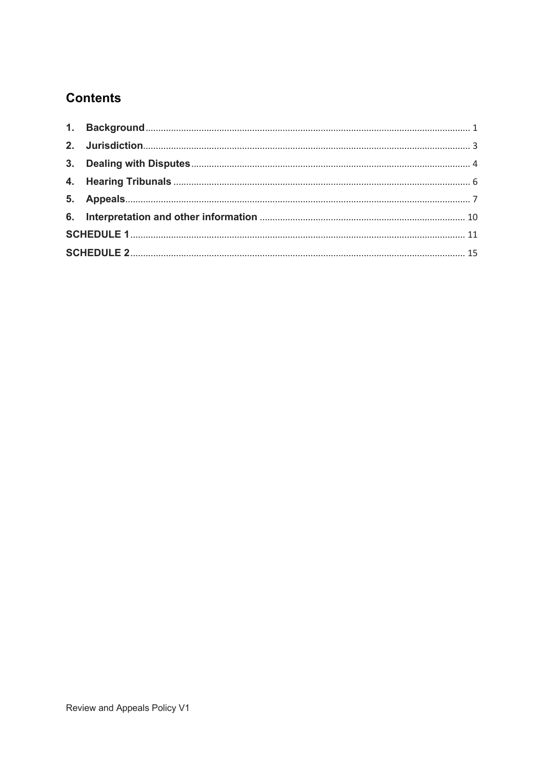## **Contents**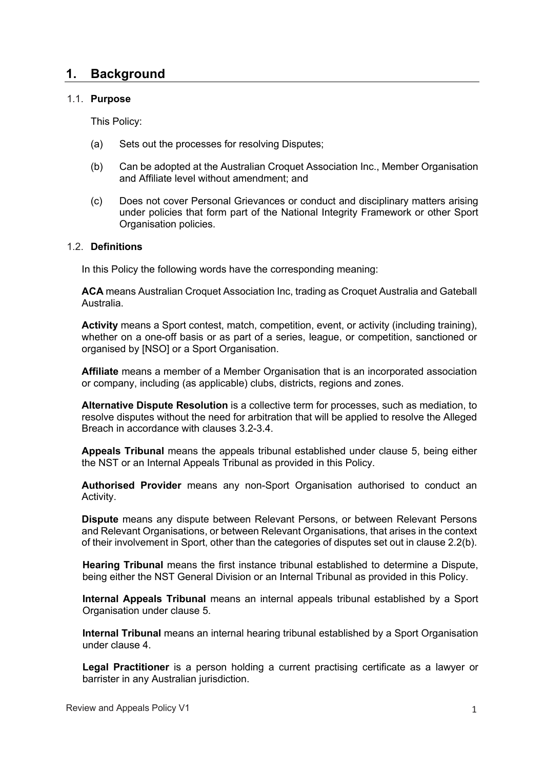## **1. Background**

#### 1.1. **Purpose**

This Policy:

- (a) Sets out the processes for resolving Disputes;
- (b) Can be adopted at the Australian Croquet Association Inc., Member Organisation and Affiliate level without amendment; and
- (c) Does not cover Personal Grievances or conduct and disciplinary matters arising under policies that form part of the National Integrity Framework or other Sport Organisation policies.

#### 1.2. **Definitions**

In this Policy the following words have the corresponding meaning:

**ACA** means Australian Croquet Association Inc, trading as Croquet Australia and Gateball Australia.

**Activity** means a Sport contest, match, competition, event, or activity (including training), whether on a one-off basis or as part of a series, league, or competition, sanctioned or organised by [NSO] or a Sport Organisation.

**Affiliate** means a member of a Member Organisation that is an incorporated association or company, including (as applicable) clubs, districts, regions and zones.

**Alternative Dispute Resolution** is a collective term for processes, such as mediation, to resolve disputes without the need for arbitration that will be applied to resolve the Alleged Breach in accordance with clauses 3.2-3.4.

**Appeals Tribunal** means the appeals tribunal established under clause 5, being either the NST or an Internal Appeals Tribunal as provided in this Policy.

**Authorised Provider** means any non-Sport Organisation authorised to conduct an Activity.

**Dispute** means any dispute between Relevant Persons, or between Relevant Persons and Relevant Organisations, or between Relevant Organisations, that arises in the context of their involvement in Sport, other than the categories of disputes set out in clause 2.2(b).

**Hearing Tribunal** means the first instance tribunal established to determine a Dispute, being either the NST General Division or an Internal Tribunal as provided in this Policy.

**Internal Appeals Tribunal** means an internal appeals tribunal established by a Sport Organisation under clause 5.

**Internal Tribunal** means an internal hearing tribunal established by a Sport Organisation under clause 4.

**Legal Practitioner** is a person holding a current practising certificate as a lawyer or barrister in any Australian jurisdiction.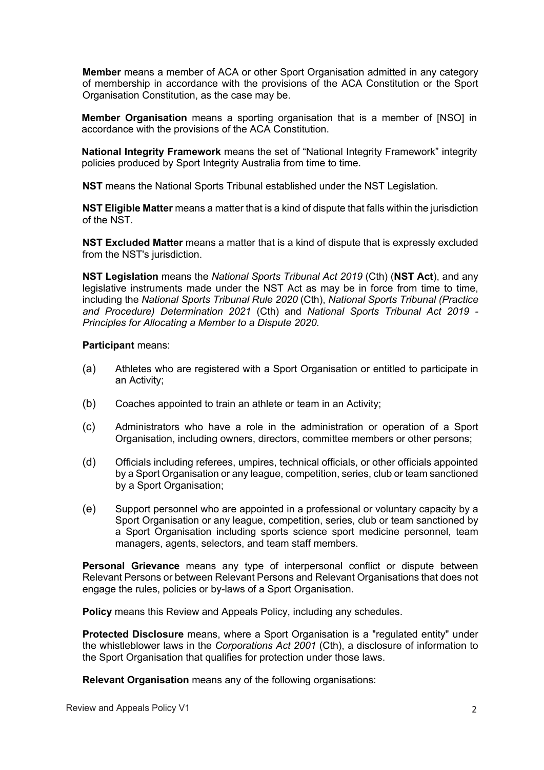**Member** means a member of ACA or other Sport Organisation admitted in any category of membership in accordance with the provisions of the ACA Constitution or the Sport Organisation Constitution, as the case may be.

**Member Organisation** means a sporting organisation that is a member of [NSO] in accordance with the provisions of the ACA Constitution.

**National Integrity Framework** means the set of "National Integrity Framework" integrity policies produced by Sport Integrity Australia from time to time.

**NST** means the National Sports Tribunal established under the NST Legislation.

**NST Eligible Matter** means a matter that is a kind of dispute that falls within the jurisdiction of the NST.

**NST Excluded Matter** means a matter that is a kind of dispute that is expressly excluded from the NST's jurisdiction.

**NST Legislation** means the *National Sports Tribunal Act 2019* (Cth) (**NST Act**), and any legislative instruments made under the NST Act as may be in force from time to time, including the *National Sports Tribunal Rule 2020* (Cth), *National Sports Tribunal (Practice and Procedure) Determination 2021* (Cth) and *National Sports Tribunal Act 2019 - Principles for Allocating a Member to a Dispute 2020*.

#### **Participant** means:

- (a) Athletes who are registered with a Sport Organisation or entitled to participate in an Activity;
- (b) Coaches appointed to train an athlete or team in an Activity;
- (c) Administrators who have a role in the administration or operation of a Sport Organisation, including owners, directors, committee members or other persons;
- (d) Officials including referees, umpires, technical officials, or other officials appointed by a Sport Organisation or any league, competition, series, club or team sanctioned by a Sport Organisation;
- (e) Support personnel who are appointed in a professional or voluntary capacity by a Sport Organisation or any league, competition, series, club or team sanctioned by a Sport Organisation including sports science sport medicine personnel, team managers, agents, selectors, and team staff members.

**Personal Grievance** means any type of interpersonal conflict or dispute between Relevant Persons or between Relevant Persons and Relevant Organisations that does not engage the rules, policies or by-laws of a Sport Organisation.

**Policy** means this Review and Appeals Policy, including any schedules.

**Protected Disclosure** means, where a Sport Organisation is a "regulated entity" under the whistleblower laws in the *Corporations Act 2001* (Cth), a disclosure of information to the Sport Organisation that qualifies for protection under those laws.

**Relevant Organisation** means any of the following organisations: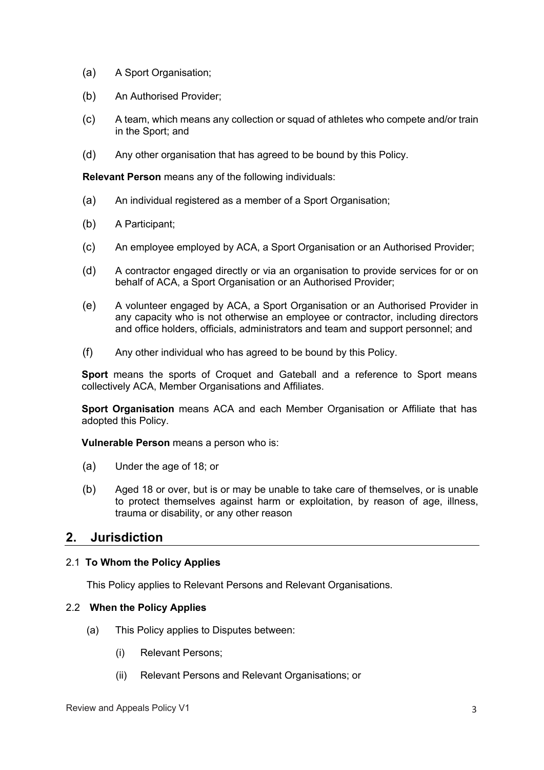- (a) A Sport Organisation;
- (b) An Authorised Provider;
- (c) A team, which means any collection or squad of athletes who compete and/or train in the Sport; and
- (d) Any other organisation that has agreed to be bound by this Policy.

**Relevant Person** means any of the following individuals:

- (a) An individual registered as a member of a Sport Organisation;
- (b) A Participant;
- (c) An employee employed by ACA, a Sport Organisation or an Authorised Provider;
- (d) A contractor engaged directly or via an organisation to provide services for or on behalf of ACA, a Sport Organisation or an Authorised Provider;
- (e) A volunteer engaged by ACA, a Sport Organisation or an Authorised Provider in any capacity who is not otherwise an employee or contractor, including directors and office holders, officials, administrators and team and support personnel; and
- (f) Any other individual who has agreed to be bound by this Policy.

**Sport** means the sports of Croquet and Gateball and a reference to Sport means collectively ACA, Member Organisations and Affiliates.

**Sport Organisation** means ACA and each Member Organisation or Affiliate that has adopted this Policy.

**Vulnerable Person** means a person who is:

- (a) Under the age of 18; or
- (b) Aged 18 or over, but is or may be unable to take care of themselves, or is unable to protect themselves against harm or exploitation, by reason of age, illness, trauma or disability, or any other reason

## **2. Jurisdiction**

#### 2.1 **To Whom the Policy Applies**

This Policy applies to Relevant Persons and Relevant Organisations.

#### 2.2 **When the Policy Applies**

- (a) This Policy applies to Disputes between:
	- (i) Relevant Persons;
	- (ii) Relevant Persons and Relevant Organisations; or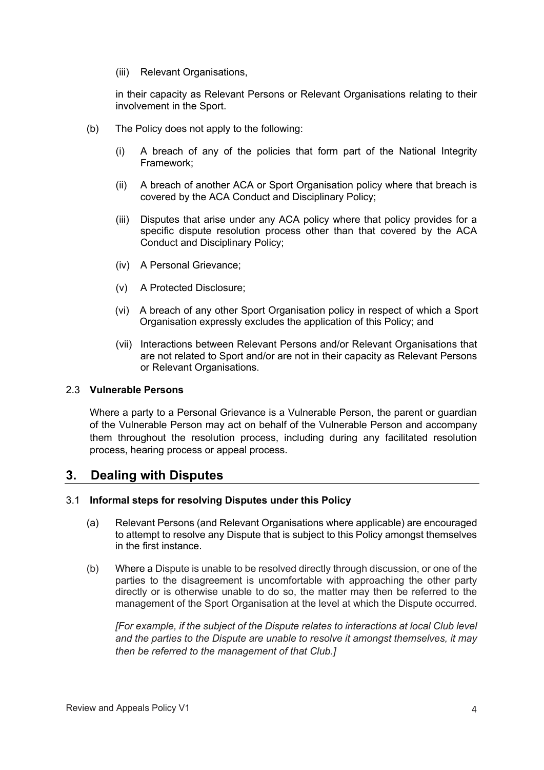(iii) Relevant Organisations,

in their capacity as Relevant Persons or Relevant Organisations relating to their involvement in the Sport.

- (b) The Policy does not apply to the following:
	- (i) A breach of any of the policies that form part of the National Integrity Framework;
	- (ii) A breach of another ACA or Sport Organisation policy where that breach is covered by the ACA Conduct and Disciplinary Policy;
	- (iii) Disputes that arise under any ACA policy where that policy provides for a specific dispute resolution process other than that covered by the ACA Conduct and Disciplinary Policy;
	- (iv) A Personal Grievance;
	- (v) A Protected Disclosure;
	- (vi) A breach of any other Sport Organisation policy in respect of which a Sport Organisation expressly excludes the application of this Policy; and
	- (vii) Interactions between Relevant Persons and/or Relevant Organisations that are not related to Sport and/or are not in their capacity as Relevant Persons or Relevant Organisations.

#### 2.3 **Vulnerable Persons**

Where a party to a Personal Grievance is a Vulnerable Person, the parent or guardian of the Vulnerable Person may act on behalf of the Vulnerable Person and accompany them throughout the resolution process, including during any facilitated resolution process, hearing process or appeal process.

## **3. Dealing with Disputes**

#### 3.1 **Informal steps for resolving Disputes under this Policy**

- (a) Relevant Persons (and Relevant Organisations where applicable) are encouraged to attempt to resolve any Dispute that is subject to this Policy amongst themselves in the first instance.
- (b) Where a Dispute is unable to be resolved directly through discussion, or one of the parties to the disagreement is uncomfortable with approaching the other party directly or is otherwise unable to do so, the matter may then be referred to the management of the Sport Organisation at the level at which the Dispute occurred.

*[For example, if the subject of the Dispute relates to interactions at local Club level and the parties to the Dispute are unable to resolve it amongst themselves, it may then be referred to the management of that Club.]*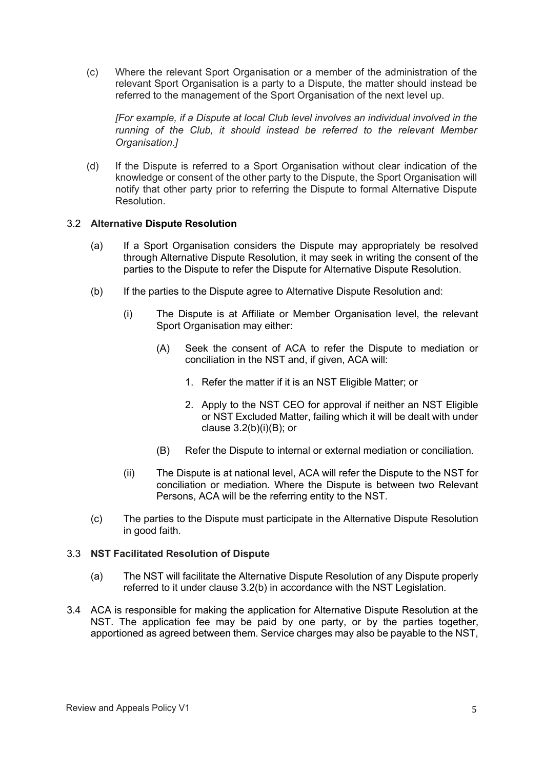(c) Where the relevant Sport Organisation or a member of the administration of the relevant Sport Organisation is a party to a Dispute, the matter should instead be referred to the management of the Sport Organisation of the next level up.

*[For example, if a Dispute at local Club level involves an individual involved in the running of the Club, it should instead be referred to the relevant Member Organisation.]*

(d) If the Dispute is referred to a Sport Organisation without clear indication of the knowledge or consent of the other party to the Dispute, the Sport Organisation will notify that other party prior to referring the Dispute to formal Alternative Dispute Resolution.

#### 3.2 **Alternative Dispute Resolution**

- (a) If a Sport Organisation considers the Dispute may appropriately be resolved through Alternative Dispute Resolution, it may seek in writing the consent of the parties to the Dispute to refer the Dispute for Alternative Dispute Resolution.
- (b) If the parties to the Dispute agree to Alternative Dispute Resolution and:
	- (i) The Dispute is at Affiliate or Member Organisation level, the relevant Sport Organisation may either:
		- (A) Seek the consent of ACA to refer the Dispute to mediation or conciliation in the NST and, if given, ACA will:
			- 1. Refer the matter if it is an NST Eligible Matter; or
			- 2. Apply to the NST CEO for approval if neither an NST Eligible or NST Excluded Matter, failing which it will be dealt with under clause  $3.2(b)(i)(B)$ ; or
		- (B) Refer the Dispute to internal or external mediation or conciliation.
	- (ii) The Dispute is at national level, ACA will refer the Dispute to the NST for conciliation or mediation. Where the Dispute is between two Relevant Persons, ACA will be the referring entity to the NST.
- (c) The parties to the Dispute must participate in the Alternative Dispute Resolution in good faith.

#### 3.3 **NST Facilitated Resolution of Dispute**

- (a) The NST will facilitate the Alternative Dispute Resolution of any Dispute properly referred to it under clause 3.2(b) in accordance with the NST Legislation.
- 3.4 ACA is responsible for making the application for Alternative Dispute Resolution at the NST. The application fee may be paid by one party, or by the parties together, apportioned as agreed between them. Service charges may also be payable to the NST,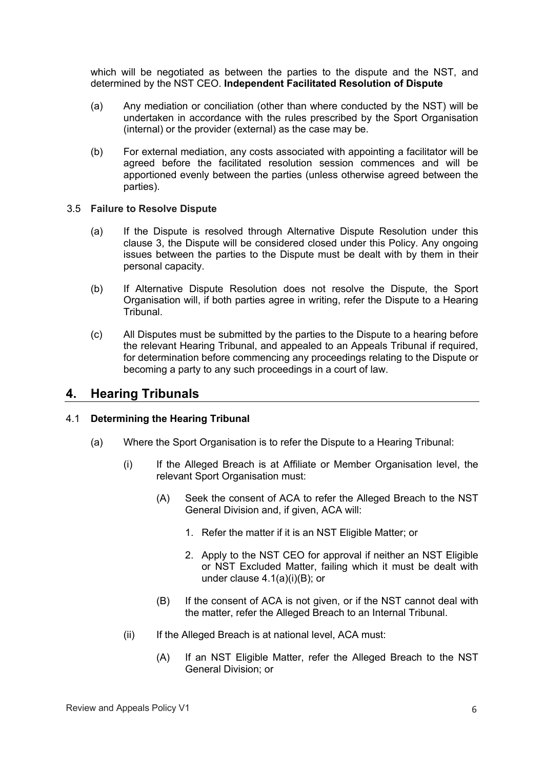which will be negotiated as between the parties to the dispute and the NST, and determined by the NST CEO. **Independent Facilitated Resolution of Dispute**

- (a) Any mediation or conciliation (other than where conducted by the NST) will be undertaken in accordance with the rules prescribed by the Sport Organisation (internal) or the provider (external) as the case may be.
- (b) For external mediation, any costs associated with appointing a facilitator will be agreed before the facilitated resolution session commences and will be apportioned evenly between the parties (unless otherwise agreed between the parties).

#### 3.5 **Failure to Resolve Dispute**

- (a) If the Dispute is resolved through Alternative Dispute Resolution under this clause 3, the Dispute will be considered closed under this Policy. Any ongoing issues between the parties to the Dispute must be dealt with by them in their personal capacity.
- (b) If Alternative Dispute Resolution does not resolve the Dispute, the Sport Organisation will, if both parties agree in writing, refer the Dispute to a Hearing Tribunal.
- (c) All Disputes must be submitted by the parties to the Dispute to a hearing before the relevant Hearing Tribunal, and appealed to an Appeals Tribunal if required, for determination before commencing any proceedings relating to the Dispute or becoming a party to any such proceedings in a court of law.

## **4. Hearing Tribunals**

#### 4.1 **Determining the Hearing Tribunal**

- (a) Where the Sport Organisation is to refer the Dispute to a Hearing Tribunal:
	- (i) If the Alleged Breach is at Affiliate or Member Organisation level, the relevant Sport Organisation must:
		- (A) Seek the consent of ACA to refer the Alleged Breach to the NST General Division and, if given, ACA will:
			- 1. Refer the matter if it is an NST Eligible Matter; or
			- 2. Apply to the NST CEO for approval if neither an NST Eligible or NST Excluded Matter, failing which it must be dealt with under clause 4.1(a)(i)(B); or
		- (B) If the consent of ACA is not given, or if the NST cannot deal with the matter, refer the Alleged Breach to an Internal Tribunal.
	- (ii) If the Alleged Breach is at national level, ACA must:
		- (A) If an NST Eligible Matter, refer the Alleged Breach to the NST General Division; or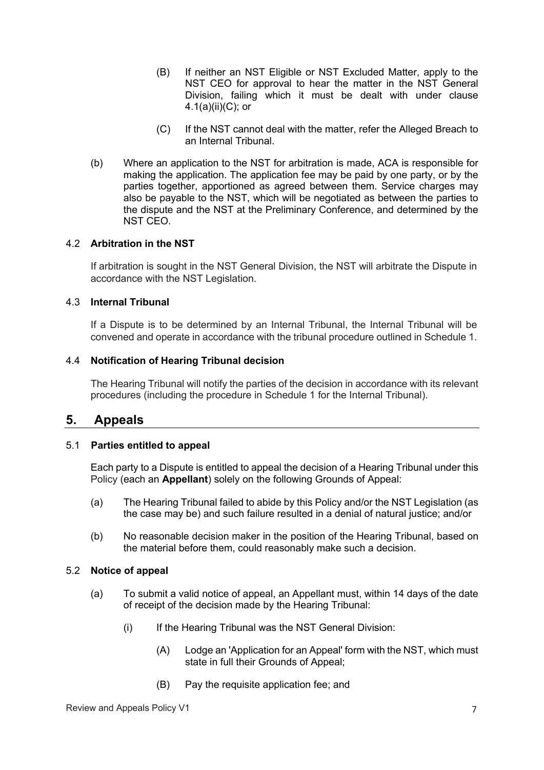- (B) If neither an NST Eligible or NST Excluded Matter, apply to the NST CEO for approval to hear the matter in the NST General Division, failing which it must be dealt with under clause 4.1(a)(ii)(C); or
- (C) If the NST cannot deal with the matter, refer the Alleged Breach to an Internal Tribunal.
- (b) Where an application to the NST for arbitration is made, ACA is responsible for making the application. The application fee may be paid by one party, or by the parties together, apportioned as agreed between them. Service charges may also be payable to the NST, which will be negotiated as between the parties to the dispute and the NST at the Preliminary Conference, and determined by the NST CEO.

#### 4.2 **Arbitration in the NST**

If arbitration is sought in the NST General Division, the NST will arbitrate the Dispute in accordance with the NST Legislation.

#### 4.3 **Internal Tribunal**

If a Dispute is to be determined by an Internal Tribunal, the Internal Tribunal will be convened and operate in accordance with the tribunal procedure outlined in Schedule 1.

#### 4.4 **Notification of Hearing Tribunal decision**

The Hearing Tribunal will notify the parties of the decision in accordance with its relevant procedures (including the procedure in Schedule 1 for the Internal Tribunal).

#### **5. Appeals**

#### 5.1 **Parties entitled to appeal**

Each party to a Dispute is entitled to appeal the decision of a Hearing Tribunal under this Policy (each an **Appellant**) solely on the following Grounds of Appeal:

- (a) The Hearing Tribunal failed to abide by this Policy and/or the NST Legislation (as the case may be) and such failure resulted in a denial of natural justice; and/or
- (b) No reasonable decision maker in the position of the Hearing Tribunal, based on the material before them, could reasonably make such a decision.

#### 5.2 **Notice of appeal**

- (a) To submit a valid notice of appeal, an Appellant must, within 14 days of the date of receipt of the decision made by the Hearing Tribunal:
	- (i) If the Hearing Tribunal was the NST General Division:
		- (A) Lodge an 'Application for an Appeal' form with the NST, which must state in full their Grounds of Appeal;
		- (B) Pay the requisite application fee; and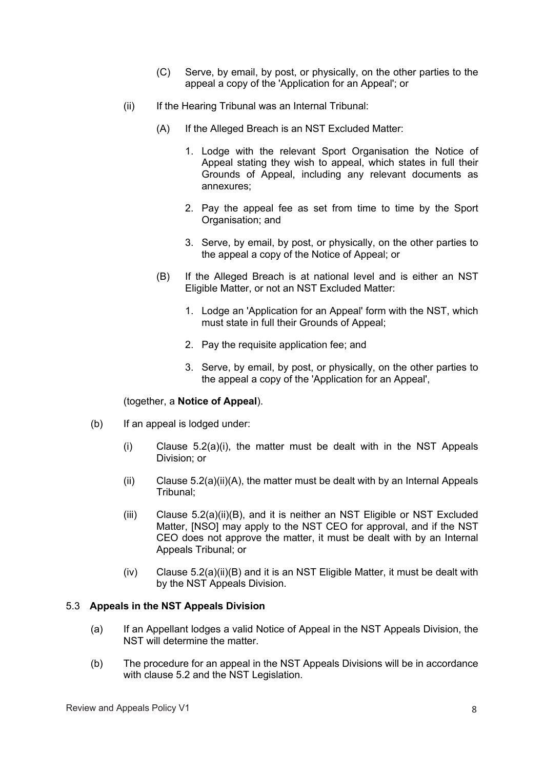- (C) Serve, by email, by post, or physically, on the other parties to the appeal a copy of the 'Application for an Appeal'; or
- (ii) If the Hearing Tribunal was an Internal Tribunal:
	- (A) If the Alleged Breach is an NST Excluded Matter:
		- 1. Lodge with the relevant Sport Organisation the Notice of Appeal stating they wish to appeal, which states in full their Grounds of Appeal, including any relevant documents as annexures;
		- 2. Pay the appeal fee as set from time to time by the Sport Organisation; and
		- 3. Serve, by email, by post, or physically, on the other parties to the appeal a copy of the Notice of Appeal; or
	- (B) If the Alleged Breach is at national level and is either an NST Eligible Matter, or not an NST Excluded Matter:
		- 1. Lodge an 'Application for an Appeal' form with the NST, which must state in full their Grounds of Appeal;
		- 2. Pay the requisite application fee; and
		- 3. Serve, by email, by post, or physically, on the other parties to the appeal a copy of the 'Application for an Appeal',

#### (together, a **Notice of Appeal**).

- (b) If an appeal is lodged under:
	- (i) Clause 5.2(a)(i), the matter must be dealt with in the NST Appeals Division; or
	- (ii) Clause  $5.2(a)(ii)(A)$ , the matter must be dealt with by an Internal Appeals Tribunal;
	- (iii) Clause 5.2(a)(ii)(B), and it is neither an NST Eligible or NST Excluded Matter, [NSO] may apply to the NST CEO for approval, and if the NST CEO does not approve the matter, it must be dealt with by an Internal Appeals Tribunal; or
	- $(iv)$  Clause 5.2(a)(ii)(B) and it is an NST Eligible Matter, it must be dealt with by the NST Appeals Division.

#### 5.3 **Appeals in the NST Appeals Division**

- (a) If an Appellant lodges a valid Notice of Appeal in the NST Appeals Division, the NST will determine the matter.
- (b) The procedure for an appeal in the NST Appeals Divisions will be in accordance with clause 5.2 and the NST Legislation.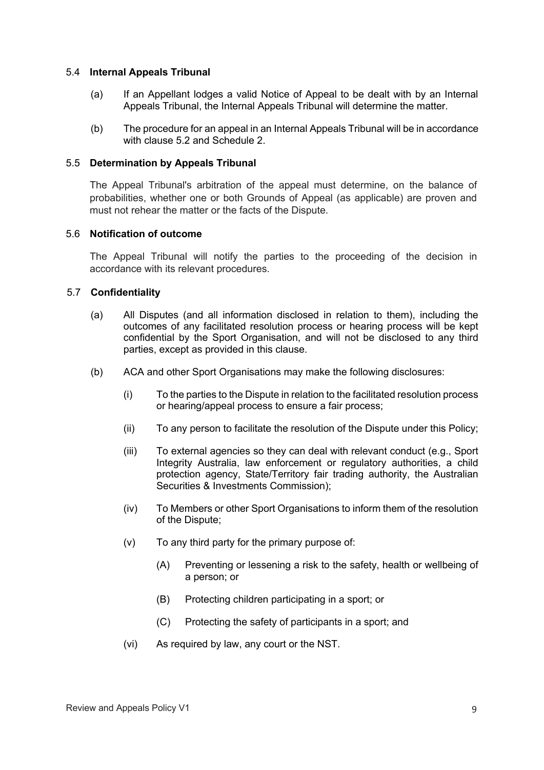#### 5.4 **Internal Appeals Tribunal**

- (a) If an Appellant lodges a valid Notice of Appeal to be dealt with by an Internal Appeals Tribunal, the Internal Appeals Tribunal will determine the matter.
- (b) The procedure for an appeal in an Internal Appeals Tribunal will be in accordance with clause 5.2 and Schedule 2.

#### 5.5 **Determination by Appeals Tribunal**

The Appeal Tribunal's arbitration of the appeal must determine, on the balance of probabilities, whether one or both Grounds of Appeal (as applicable) are proven and must not rehear the matter or the facts of the Dispute.

#### 5.6 **Notification of outcome**

The Appeal Tribunal will notify the parties to the proceeding of the decision in accordance with its relevant procedures.

#### 5.7 **Confidentiality**

- (a) All Disputes (and all information disclosed in relation to them), including the outcomes of any facilitated resolution process or hearing process will be kept confidential by the Sport Organisation, and will not be disclosed to any third parties, except as provided in this clause.
- (b) ACA and other Sport Organisations may make the following disclosures:
	- (i) To the parties to the Dispute in relation to the facilitated resolution process or hearing/appeal process to ensure a fair process;
	- (ii) To any person to facilitate the resolution of the Dispute under this Policy;
	- (iii) To external agencies so they can deal with relevant conduct (e.g., Sport Integrity Australia, law enforcement or regulatory authorities, a child protection agency, State/Territory fair trading authority, the Australian Securities & Investments Commission);
	- (iv) To Members or other Sport Organisations to inform them of the resolution of the Dispute;
	- (v) To any third party for the primary purpose of:
		- (A) Preventing or lessening a risk to the safety, health or wellbeing of a person; or
		- (B) Protecting children participating in a sport; or
		- (C) Protecting the safety of participants in a sport; and
	- (vi) As required by law, any court or the NST.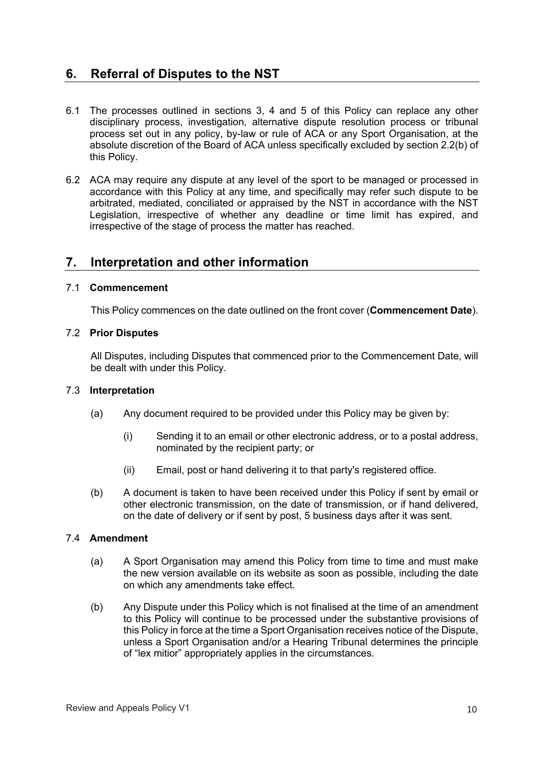## **6. Referral of Disputes to the NST**

- 6.1 The processes outlined in sections 3, 4 and 5 of this Policy can replace any other disciplinary process, investigation, alternative dispute resolution process or tribunal process set out in any policy, by-law or rule of ACA or any Sport Organisation, at the absolute discretion of the Board of ACA unless specifically excluded by section 2.2(b) of this Policy.
- 6.2 ACA may require any dispute at any level of the sport to be managed or processed in accordance with this Policy at any time, and specifically may refer such dispute to be arbitrated, mediated, conciliated or appraised by the NST in accordance with the NST Legislation, irrespective of whether any deadline or time limit has expired, and irrespective of the stage of process the matter has reached.

## **7. Interpretation and other information**

#### 7.1 **Commencement**

This Policy commences on the date outlined on the front cover (**Commencement Date**).

#### 7.2 **Prior Disputes**

All Disputes, including Disputes that commenced prior to the Commencement Date, will be dealt with under this Policy.

#### 7.3 **Interpretation**

- (a) Any document required to be provided under this Policy may be given by:
	- (i) Sending it to an email or other electronic address, or to a postal address, nominated by the recipient party; or
	- (ii) Email, post or hand delivering it to that party's registered office.
- (b) A document is taken to have been received under this Policy if sent by email or other electronic transmission, on the date of transmission, or if hand delivered, on the date of delivery or if sent by post, 5 business days after it was sent.

#### 7.4 **Amendment**

- (a) A Sport Organisation may amend this Policy from time to time and must make the new version available on its website as soon as possible, including the date on which any amendments take effect.
- (b) Any Dispute under this Policy which is not finalised at the time of an amendment to this Policy will continue to be processed under the substantive provisions of this Policy in force at the time a Sport Organisation receives notice of the Dispute, unless a Sport Organisation and/or a Hearing Tribunal determines the principle of "lex mitior" appropriately applies in the circumstances.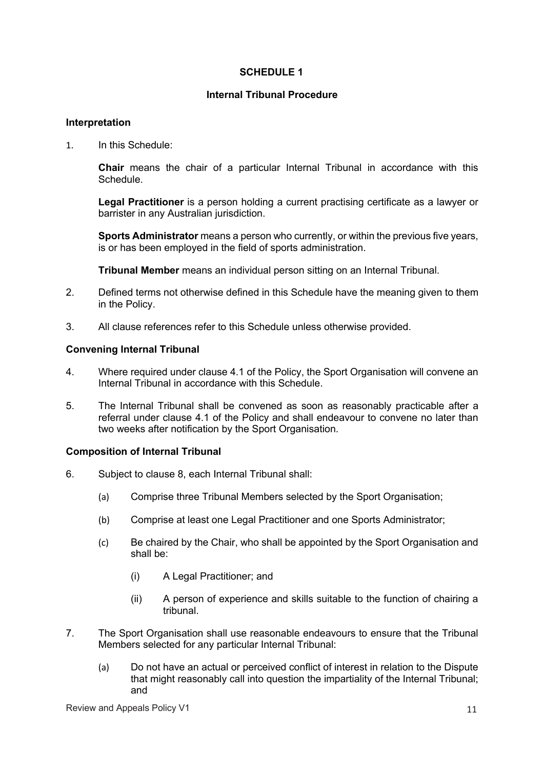#### **SCHEDULE 1**

#### **Internal Tribunal Procedure**

#### **Interpretation**

1. In this Schedule:

**Chair** means the chair of a particular Internal Tribunal in accordance with this Schedule.

**Legal Practitioner** is a person holding a current practising certificate as a lawyer or barrister in any Australian jurisdiction.

**Sports Administrator** means a person who currently, or within the previous five years, is or has been employed in the field of sports administration.

**Tribunal Member** means an individual person sitting on an Internal Tribunal.

- 2. Defined terms not otherwise defined in this Schedule have the meaning given to them in the Policy.
- 3. All clause references refer to this Schedule unless otherwise provided.

#### **Convening Internal Tribunal**

- 4. Where required under clause 4.1 of the Policy, the Sport Organisation will convene an Internal Tribunal in accordance with this Schedule.
- 5. The Internal Tribunal shall be convened as soon as reasonably practicable after a referral under clause 4.1 of the Policy and shall endeavour to convene no later than two weeks after notification by the Sport Organisation.

#### **Composition of Internal Tribunal**

- 6. Subject to clause 8, each Internal Tribunal shall:
	- (a) Comprise three Tribunal Members selected by the Sport Organisation;
	- (b) Comprise at least one Legal Practitioner and one Sports Administrator;
	- (c) Be chaired by the Chair, who shall be appointed by the Sport Organisation and shall be:
		- (i) A Legal Practitioner; and
		- (ii) A person of experience and skills suitable to the function of chairing a tribunal.
- 7. The Sport Organisation shall use reasonable endeavours to ensure that the Tribunal Members selected for any particular Internal Tribunal:
	- (a) Do not have an actual or perceived conflict of interest in relation to the Dispute that might reasonably call into question the impartiality of the Internal Tribunal; and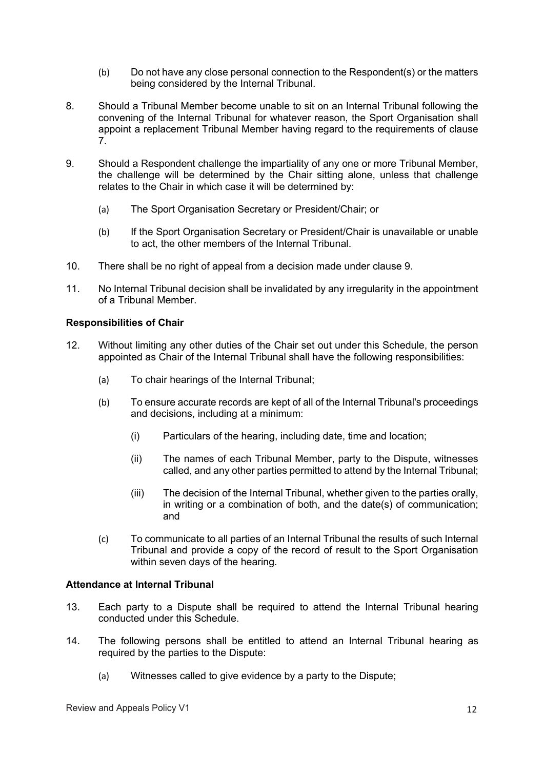- (b) Do not have any close personal connection to the Respondent(s) or the matters being considered by the Internal Tribunal.
- 8. Should a Tribunal Member become unable to sit on an Internal Tribunal following the convening of the Internal Tribunal for whatever reason, the Sport Organisation shall appoint a replacement Tribunal Member having regard to the requirements of clause 7.
- 9. Should a Respondent challenge the impartiality of any one or more Tribunal Member, the challenge will be determined by the Chair sitting alone, unless that challenge relates to the Chair in which case it will be determined by:
	- (a) The Sport Organisation Secretary or President/Chair; or
	- (b) If the Sport Organisation Secretary or President/Chair is unavailable or unable to act, the other members of the Internal Tribunal.
- 10. There shall be no right of appeal from a decision made under clause 9.
- 11. No Internal Tribunal decision shall be invalidated by any irregularity in the appointment of a Tribunal Member.

#### **Responsibilities of Chair**

- 12. Without limiting any other duties of the Chair set out under this Schedule, the person appointed as Chair of the Internal Tribunal shall have the following responsibilities:
	- (a) To chair hearings of the Internal Tribunal;
	- (b) To ensure accurate records are kept of all of the Internal Tribunal's proceedings and decisions, including at a minimum:
		- (i) Particulars of the hearing, including date, time and location;
		- (ii) The names of each Tribunal Member, party to the Dispute, witnesses called, and any other parties permitted to attend by the Internal Tribunal;
		- (iii) The decision of the Internal Tribunal, whether given to the parties orally, in writing or a combination of both, and the date(s) of communication; and
	- (c) To communicate to all parties of an Internal Tribunal the results of such Internal Tribunal and provide a copy of the record of result to the Sport Organisation within seven days of the hearing.

#### **Attendance at Internal Tribunal**

- 13. Each party to a Dispute shall be required to attend the Internal Tribunal hearing conducted under this Schedule.
- 14. The following persons shall be entitled to attend an Internal Tribunal hearing as required by the parties to the Dispute:
	- (a) Witnesses called to give evidence by a party to the Dispute;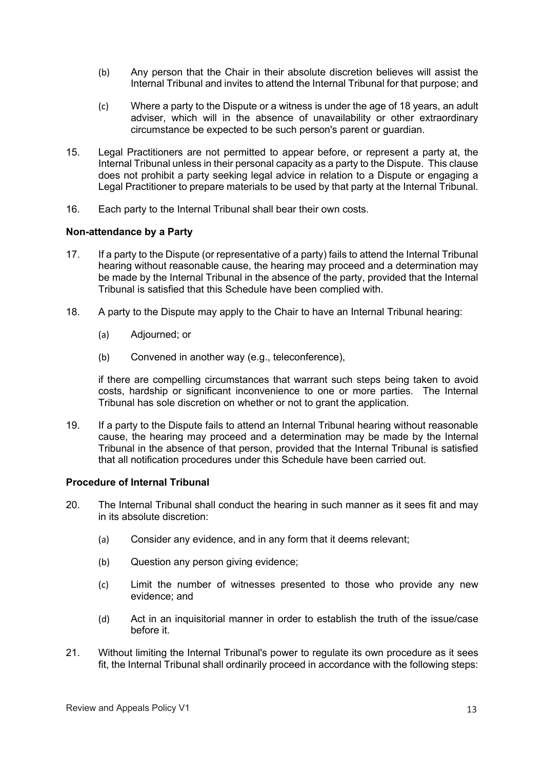- (b) Any person that the Chair in their absolute discretion believes will assist the Internal Tribunal and invites to attend the Internal Tribunal for that purpose; and
- (c) Where a party to the Dispute or a witness is under the age of 18 years, an adult adviser, which will in the absence of unavailability or other extraordinary circumstance be expected to be such person's parent or guardian.
- 15. Legal Practitioners are not permitted to appear before, or represent a party at, the Internal Tribunal unless in their personal capacity as a party to the Dispute. This clause does not prohibit a party seeking legal advice in relation to a Dispute or engaging a Legal Practitioner to prepare materials to be used by that party at the Internal Tribunal.
- 16. Each party to the Internal Tribunal shall bear their own costs.

#### **Non-attendance by a Party**

- 17. If a party to the Dispute (or representative of a party) fails to attend the Internal Tribunal hearing without reasonable cause, the hearing may proceed and a determination may be made by the Internal Tribunal in the absence of the party, provided that the Internal Tribunal is satisfied that this Schedule have been complied with.
- 18. A party to the Dispute may apply to the Chair to have an Internal Tribunal hearing:
	- (a) Adjourned; or
	- (b) Convened in another way (e.g., teleconference),

if there are compelling circumstances that warrant such steps being taken to avoid costs, hardship or significant inconvenience to one or more parties. The Internal Tribunal has sole discretion on whether or not to grant the application.

19. If a party to the Dispute fails to attend an Internal Tribunal hearing without reasonable cause, the hearing may proceed and a determination may be made by the Internal Tribunal in the absence of that person, provided that the Internal Tribunal is satisfied that all notification procedures under this Schedule have been carried out.

#### **Procedure of Internal Tribunal**

- 20. The Internal Tribunal shall conduct the hearing in such manner as it sees fit and may in its absolute discretion:
	- (a) Consider any evidence, and in any form that it deems relevant;
	- (b) Question any person giving evidence;
	- (c) Limit the number of witnesses presented to those who provide any new evidence; and
	- (d) Act in an inquisitorial manner in order to establish the truth of the issue/case before it.
- 21. Without limiting the Internal Tribunal's power to regulate its own procedure as it sees fit, the Internal Tribunal shall ordinarily proceed in accordance with the following steps: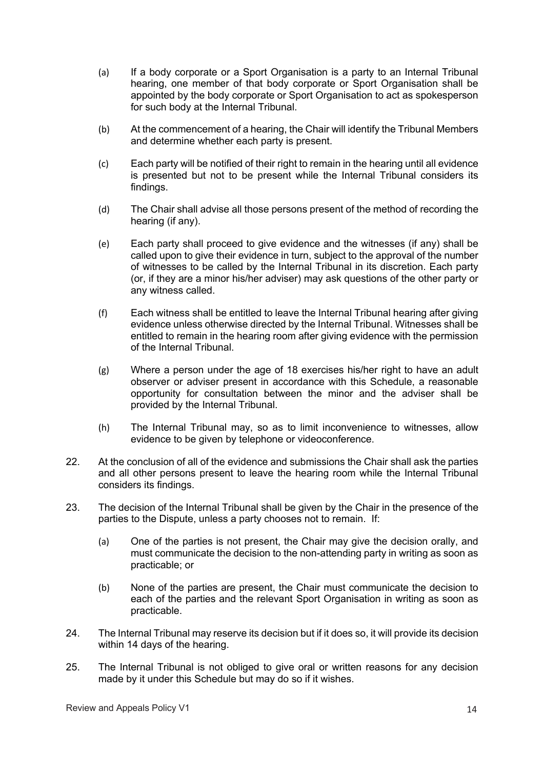- (a) If a body corporate or a Sport Organisation is a party to an Internal Tribunal hearing, one member of that body corporate or Sport Organisation shall be appointed by the body corporate or Sport Organisation to act as spokesperson for such body at the Internal Tribunal.
- (b) At the commencement of a hearing, the Chair will identify the Tribunal Members and determine whether each party is present.
- (c) Each party will be notified of their right to remain in the hearing until all evidence is presented but not to be present while the Internal Tribunal considers its findings.
- (d) The Chair shall advise all those persons present of the method of recording the hearing (if any).
- (e) Each party shall proceed to give evidence and the witnesses (if any) shall be called upon to give their evidence in turn, subject to the approval of the number of witnesses to be called by the Internal Tribunal in its discretion. Each party (or, if they are a minor his/her adviser) may ask questions of the other party or any witness called.
- (f) Each witness shall be entitled to leave the Internal Tribunal hearing after giving evidence unless otherwise directed by the Internal Tribunal. Witnesses shall be entitled to remain in the hearing room after giving evidence with the permission of the Internal Tribunal.
- (g) Where a person under the age of 18 exercises his/her right to have an adult observer or adviser present in accordance with this Schedule, a reasonable opportunity for consultation between the minor and the adviser shall be provided by the Internal Tribunal.
- (h) The Internal Tribunal may, so as to limit inconvenience to witnesses, allow evidence to be given by telephone or videoconference.
- 22. At the conclusion of all of the evidence and submissions the Chair shall ask the parties and all other persons present to leave the hearing room while the Internal Tribunal considers its findings.
- 23. The decision of the Internal Tribunal shall be given by the Chair in the presence of the parties to the Dispute, unless a party chooses not to remain. If:
	- (a) One of the parties is not present, the Chair may give the decision orally, and must communicate the decision to the non-attending party in writing as soon as practicable; or
	- (b) None of the parties are present, the Chair must communicate the decision to each of the parties and the relevant Sport Organisation in writing as soon as practicable.
- 24. The Internal Tribunal may reserve its decision but if it does so, it will provide its decision within 14 days of the hearing.
- 25. The Internal Tribunal is not obliged to give oral or written reasons for any decision made by it under this Schedule but may do so if it wishes.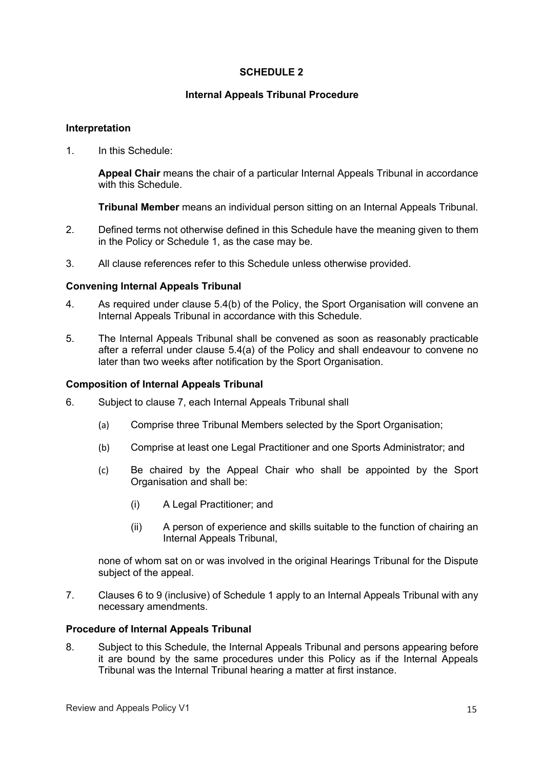#### **SCHEDULE 2**

#### **Internal Appeals Tribunal Procedure**

#### **Interpretation**

1. In this Schedule:

**Appeal Chair** means the chair of a particular Internal Appeals Tribunal in accordance with this Schedule.

**Tribunal Member** means an individual person sitting on an Internal Appeals Tribunal.

- 2. Defined terms not otherwise defined in this Schedule have the meaning given to them in the Policy or Schedule 1, as the case may be.
- 3. All clause references refer to this Schedule unless otherwise provided.

#### **Convening Internal Appeals Tribunal**

- 4. As required under clause 5.4(b) of the Policy, the Sport Organisation will convene an Internal Appeals Tribunal in accordance with this Schedule.
- 5. The Internal Appeals Tribunal shall be convened as soon as reasonably practicable after a referral under clause 5.4(a) of the Policy and shall endeavour to convene no later than two weeks after notification by the Sport Organisation.

#### **Composition of Internal Appeals Tribunal**

- 6. Subject to clause 7, each Internal Appeals Tribunal shall
	- (a) Comprise three Tribunal Members selected by the Sport Organisation;
	- (b) Comprise at least one Legal Practitioner and one Sports Administrator; and
	- (c) Be chaired by the Appeal Chair who shall be appointed by the Sport Organisation and shall be:
		- (i) A Legal Practitioner; and
		- (ii) A person of experience and skills suitable to the function of chairing an Internal Appeals Tribunal,

none of whom sat on or was involved in the original Hearings Tribunal for the Dispute subject of the appeal.

7. Clauses 6 to 9 (inclusive) of Schedule 1 apply to an Internal Appeals Tribunal with any necessary amendments.

#### **Procedure of Internal Appeals Tribunal**

8. Subject to this Schedule, the Internal Appeals Tribunal and persons appearing before it are bound by the same procedures under this Policy as if the Internal Appeals Tribunal was the Internal Tribunal hearing a matter at first instance.